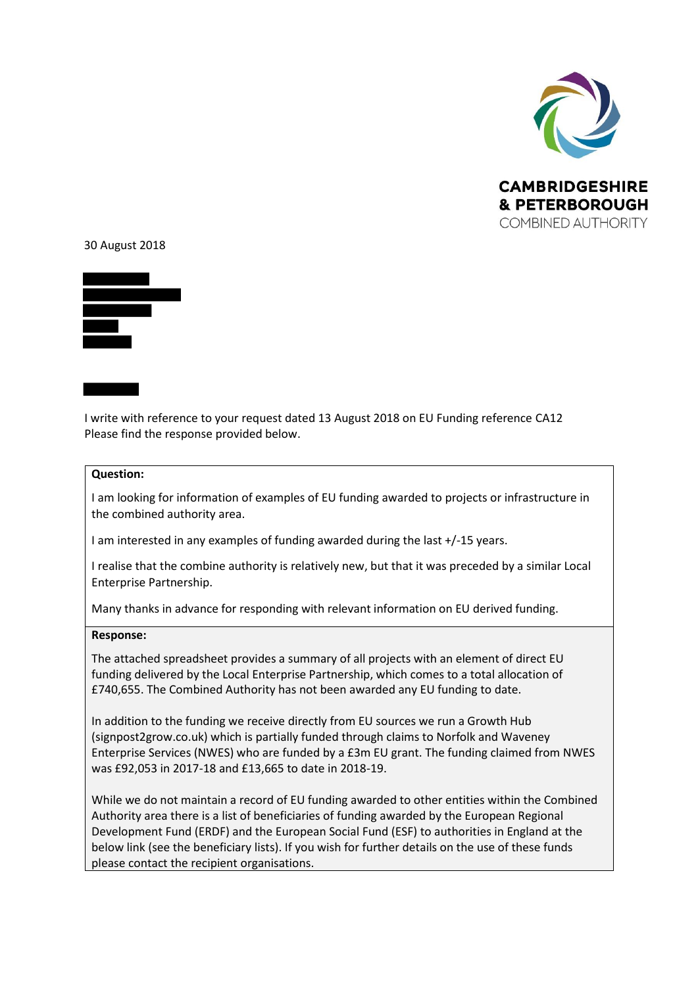

## 30 August 2018



I write with reference to your request dated 13 August 2018 on EU Funding reference CA12 Please find the response provided below.

## **Question:**

I am looking for information of examples of EU funding awarded to projects or infrastructure in the combined authority area.

I am interested in any examples of funding awarded during the last +/-15 years.

I realise that the combine authority is relatively new, but that it was preceded by a similar Local Enterprise Partnership.

Many thanks in advance for responding with relevant information on EU derived funding.

## **Response:**

The attached spreadsheet provides a summary of all projects with an element of direct EU funding delivered by the Local Enterprise Partnership, which comes to a total allocation of £740,655. The Combined Authority has not been awarded any EU funding to date.

In addition to the funding we receive directly from EU sources we run a Growth Hub (signpost2grow.co.uk) which is partially funded through claims to Norfolk and Waveney Enterprise Services (NWES) who are funded by a £3m EU grant. The funding claimed from NWES was £92,053 in 2017-18 and £13,665 to date in 2018-19.

While we do not maintain a record of EU funding awarded to other entities within the Combined Authority area there is a list of beneficiaries of funding awarded by the European Regional Development Fund (ERDF) and the European Social Fund (ESF) to authorities in England at the below link (see the beneficiary lists). If you wish for further details on the use of these funds please contact the recipient organisations.